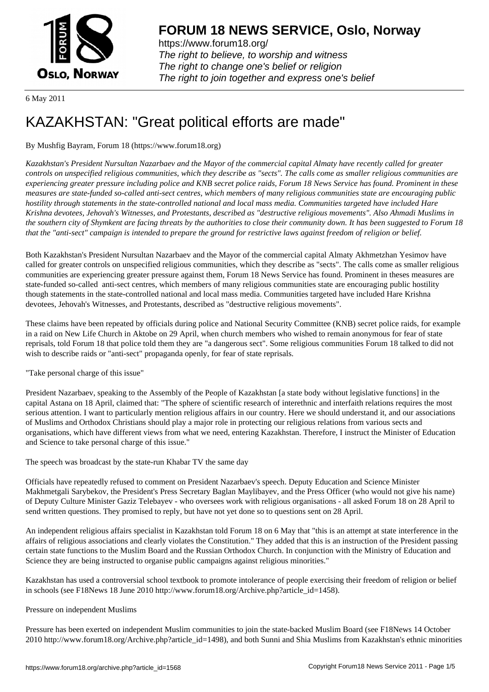

https://www.forum18.org/ The right to believe, to worship and witness The right to change one's belief or religion [The right to join together a](https://www.forum18.org/)nd express one's belief

6 May 2011

# [KAZAKHSTAN:](https://www.forum18.org) "Great political efforts are made"

## By Mushfig Bayram, Forum 18 (https://www.forum18.org)

*Kazakhstan's President Nursultan Nazarbaev and the Mayor of the commercial capital Almaty have recently called for greater controls on unspecified religious communities, which they describe as "sects". The calls come as smaller religious communities are experiencing greater pressure including police and KNB secret police raids, Forum 18 News Service has found. Prominent in these measures are state-funded so-called anti-sect centres, which members of many religious communities state are encouraging public hostility through statements in the state-controlled national and local mass media. Communities targeted have included Hare Krishna devotees, Jehovah's Witnesses, and Protestants, described as "destructive religious movements". Also Ahmadi Muslims in the southern city of Shymkent are facing threats by the authorities to close their community down. It has been suggested to Forum 18 that the "anti-sect" campaign is intended to prepare the ground for restrictive laws against freedom of religion or belief.*

Both Kazakhstan's President Nursultan Nazarbaev and the Mayor of the commercial capital Almaty Akhmetzhan Yesimov have called for greater controls on unspecified religious communities, which they describe as "sects". The calls come as smaller religious communities are experiencing greater pressure against them, Forum 18 News Service has found. Prominent in theses measures are state-funded so-called anti-sect centres, which members of many religious communities state are encouraging public hostility though statements in the state-controlled national and local mass media. Communities targeted have included Hare Krishna devotees, Jehovah's Witnesses, and Protestants, described as "destructive religious movements".

These claims have been repeated by officials during police and National Security Committee (KNB) secret police raids, for example in a raid on New Life Church in Aktobe on 29 April, when church members who wished to remain anonymous for fear of state reprisals, told Forum 18 that police told them they are "a dangerous sect". Some religious communities Forum 18 talked to did not wish to describe raids or "anti-sect" propaganda openly, for fear of state reprisals.

#### "Take personal charge of this issue"

President Nazarbaev, speaking to the Assembly of the People of Kazakhstan [a state body without legislative functions] in the capital Astana on 18 April, claimed that: "The sphere of scientific research of interethnic and interfaith relations requires the most serious attention. I want to particularly mention religious affairs in our country. Here we should understand it, and our associations of Muslims and Orthodox Christians should play a major role in protecting our religious relations from various sects and organisations, which have different views from what we need, entering Kazakhstan. Therefore, I instruct the Minister of Education and Science to take personal charge of this issue."

The speech was broadcast by the state-run Khabar TV the same day

Officials have repeatedly refused to comment on President Nazarbaev's speech. Deputy Education and Science Minister Makhmetgali Sarybekov, the President's Press Secretary Baglan Maylibayev, and the Press Officer (who would not give his name) of Deputy Culture Minister Gaziz Telebayev - who oversees work with religious organisations - all asked Forum 18 on 28 April to send written questions. They promised to reply, but have not yet done so to questions sent on 28 April.

An independent religious affairs specialist in Kazakhstan told Forum 18 on 6 May that "this is an attempt at state interference in the affairs of religious associations and clearly violates the Constitution." They added that this is an instruction of the President passing certain state functions to the Muslim Board and the Russian Orthodox Church. In conjunction with the Ministry of Education and Science they are being instructed to organise public campaigns against religious minorities."

Kazakhstan has used a controversial school textbook to promote intolerance of people exercising their freedom of religion or belief in schools (see F18News 18 June 2010 http://www.forum18.org/Archive.php?article\_id=1458).

#### Pressure on independent Muslims

Pressure has been exerted on independent Muslim communities to join the state-backed Muslim Board (see F18News 14 October 2010 http://www.forum18.org/Archive.php?article\_id=1498), and both Sunni and Shia Muslims from Kazakhstan's ethnic minorities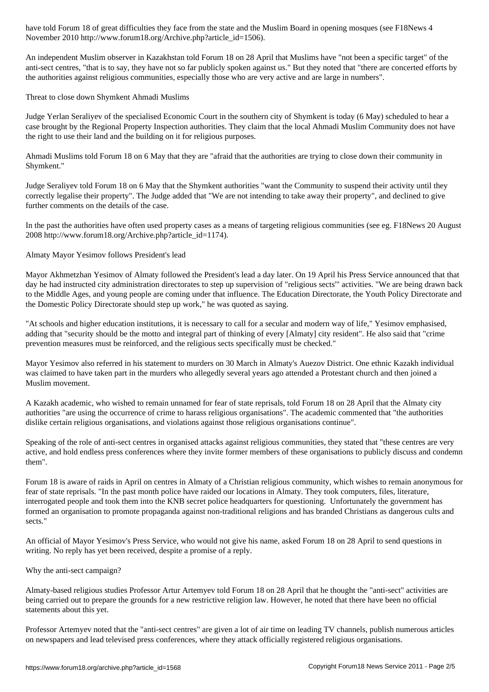$N$  is a contract  $\omega$  in the  $\omega$  -forum  $-$ 

An independent Muslim observer in Kazakhstan told Forum 18 on 28 April that Muslims have "not been a specific target" of the anti-sect centres, "that is to say, they have not so far publicly spoken against us." But they noted that "there are concerted efforts by the authorities against religious communities, especially those who are very active and are large in numbers".

Threat to close down Shymkent Ahmadi Muslims

Judge Yerlan Seraliyev of the specialised Economic Court in the southern city of Shymkent is today (6 May) scheduled to hear a case brought by the Regional Property Inspection authorities. They claim that the local Ahmadi Muslim Community does not have the right to use their land and the building on it for religious purposes.

Ahmadi Muslims told Forum 18 on 6 May that they are "afraid that the authorities are trying to close down their community in Shymkent."

Judge Seraliyev told Forum 18 on 6 May that the Shymkent authorities "want the Community to suspend their activity until they correctly legalise their property". The Judge added that "We are not intending to take away their property", and declined to give further comments on the details of the case.

In the past the authorities have often used property cases as a means of targeting religious communities (see eg. F18News 20 August 2008 http://www.forum18.org/Archive.php?article\_id=1174).

Almaty Mayor Yesimov follows President's lead

Mayor Akhmetzhan Yesimov of Almaty followed the President's lead a day later. On 19 April his Press Service announced that that day he had instructed city administration directorates to step up supervision of "religious sects'" activities. "We are being drawn back to the Middle Ages, and young people are coming under that influence. The Education Directorate, the Youth Policy Directorate and the Domestic Policy Directorate should step up work," he was quoted as saying.

"At schools and higher education institutions, it is necessary to call for a secular and modern way of life," Yesimov emphasised, adding that "security should be the motto and integral part of thinking of every [Almaty] city resident". He also said that "crime prevention measures must be reinforced, and the religious sects specifically must be checked."

Mayor Yesimov also referred in his statement to murders on 30 March in Almaty's Auezov District. One ethnic Kazakh individual was claimed to have taken part in the murders who allegedly several years ago attended a Protestant church and then joined a Muslim movement.

A Kazakh academic, who wished to remain unnamed for fear of state reprisals, told Forum 18 on 28 April that the Almaty city authorities "are using the occurrence of crime to harass religious organisations". The academic commented that "the authorities dislike certain religious organisations, and violations against those religious organisations continue".

Speaking of the role of anti-sect centres in organised attacks against religious communities, they stated that "these centres are very active, and hold endless press conferences where they invite former members of these organisations to publicly discuss and condemn them".

Forum 18 is aware of raids in April on centres in Almaty of a Christian religious community, which wishes to remain anonymous for fear of state reprisals. "In the past month police have raided our locations in Almaty. They took computers, files, literature, interrogated people and took them into the KNB secret police headquarters for questioning. Unfortunately the government has formed an organisation to promote propaganda against non-traditional religions and has branded Christians as dangerous cults and sects."

An official of Mayor Yesimov's Press Service, who would not give his name, asked Forum 18 on 28 April to send questions in writing. No reply has yet been received, despite a promise of a reply.

Why the anti-sect campaign?

Almaty-based religious studies Professor Artur Artemyev told Forum 18 on 28 April that he thought the "anti-sect" activities are being carried out to prepare the grounds for a new restrictive religion law. However, he noted that there have been no official statements about this yet.

Professor Artemyev noted that the "anti-sect centres" are given a lot of air time on leading TV channels, publish numerous articles on newspapers and lead televised press conferences, where they attack officially registered religious organisations.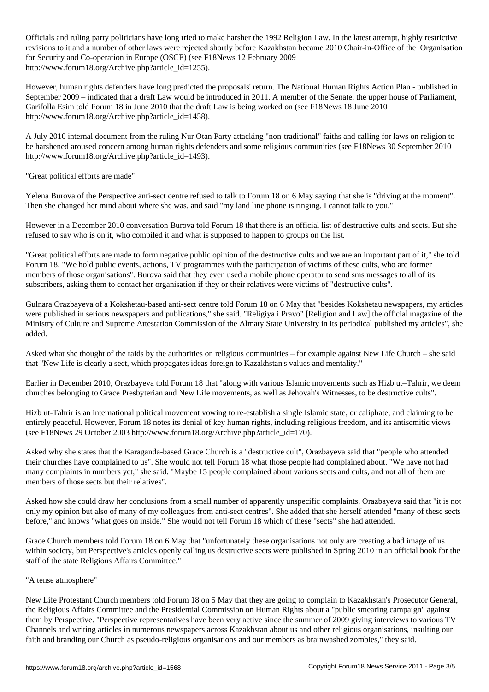Officials and ruling party politicians have long tried to make harsher the 1992 Religion Law. In the latest attempt, highly restrictive revisions to it and a number of other laws were rejected shortly before Kazakhstan became 2010 Chair-in-Office of the Organisation for Security and Co-operation in Europe (OSCE) (see F18News 12 February 2009 http://www.forum18.org/Archive.php?article\_id=1255).

However, human rights defenders have long predicted the proposals' return. The National Human Rights Action Plan - published in September 2009 – indicated that a draft Law would be introduced in 2011. A member of the Senate, the upper house of Parliament, Garifolla Esim told Forum 18 in June 2010 that the draft Law is being worked on (see F18News 18 June 2010 http://www.forum18.org/Archive.php?article\_id=1458).

A July 2010 internal document from the ruling Nur Otan Party attacking "non-traditional" faiths and calling for laws on religion to be harshened aroused concern among human rights defenders and some religious communities (see F18News 30 September 2010 http://www.forum18.org/Archive.php?article\_id=1493).

"Great political efforts are made"

Yelena Burova of the Perspective anti-sect centre refused to talk to Forum 18 on 6 May saying that she is "driving at the moment". Then she changed her mind about where she was, and said "my land line phone is ringing, I cannot talk to you."

However in a December 2010 conversation Burova told Forum 18 that there is an official list of destructive cults and sects. But she refused to say who is on it, who compiled it and what is supposed to happen to groups on the list.

"Great political efforts are made to form negative public opinion of the destructive cults and we are an important part of it," she told Forum 18. "We hold public events, actions, TV programmes with the participation of victims of these cults, who are former members of those organisations". Burova said that they even used a mobile phone operator to send sms messages to all of its subscribers, asking them to contact her organisation if they or their relatives were victims of "destructive cults".

Gulnara Orazbayeva of a Kokshetau-based anti-sect centre told Forum 18 on 6 May that "besides Kokshetau newspapers, my articles were published in serious newspapers and publications," she said. "Religiya i Pravo" [Religion and Law] the official magazine of the Ministry of Culture and Supreme Attestation Commission of the Almaty State University in its periodical published my articles", she added.

Asked what she thought of the raids by the authorities on religious communities – for example against New Life Church – she said that "New Life is clearly a sect, which propagates ideas foreign to Kazakhstan's values and mentality."

Earlier in December 2010, Orazbayeva told Forum 18 that "along with various Islamic movements such as Hizb ut–Tahrir, we deem churches belonging to Grace Presbyterian and New Life movements, as well as Jehovah's Witnesses, to be destructive cults".

Hizb ut-Tahrir is an international political movement vowing to re-establish a single Islamic state, or caliphate, and claiming to be entirely peaceful. However, Forum 18 notes its denial of key human rights, including religious freedom, and its antisemitic views (see F18News 29 October 2003 http://www.forum18.org/Archive.php?article\_id=170).

Asked why she states that the Karaganda-based Grace Church is a "destructive cult", Orazbayeva said that "people who attended their churches have complained to us". She would not tell Forum 18 what those people had complained about. "We have not had many complaints in numbers yet," she said. "Maybe 15 people complained about various sects and cults, and not all of them are members of those sects but their relatives".

Asked how she could draw her conclusions from a small number of apparently unspecific complaints, Orazbayeva said that "it is not only my opinion but also of many of my colleagues from anti-sect centres". She added that she herself attended "many of these sects before," and knows "what goes on inside." She would not tell Forum 18 which of these "sects" she had attended.

Grace Church members told Forum 18 on 6 May that "unfortunately these organisations not only are creating a bad image of us within society, but Perspective's articles openly calling us destructive sects were published in Spring 2010 in an official book for the staff of the state Religious Affairs Committee."

### "A tense atmosphere"

New Life Protestant Church members told Forum 18 on 5 May that they are going to complain to Kazakhstan's Prosecutor General, the Religious Affairs Committee and the Presidential Commission on Human Rights about a "public smearing campaign" against them by Perspective. "Perspective representatives have been very active since the summer of 2009 giving interviews to various TV Channels and writing articles in numerous newspapers across Kazakhstan about us and other religious organisations, insulting our faith and branding our Church as pseudo-religious organisations and our members as brainwashed zombies," they said.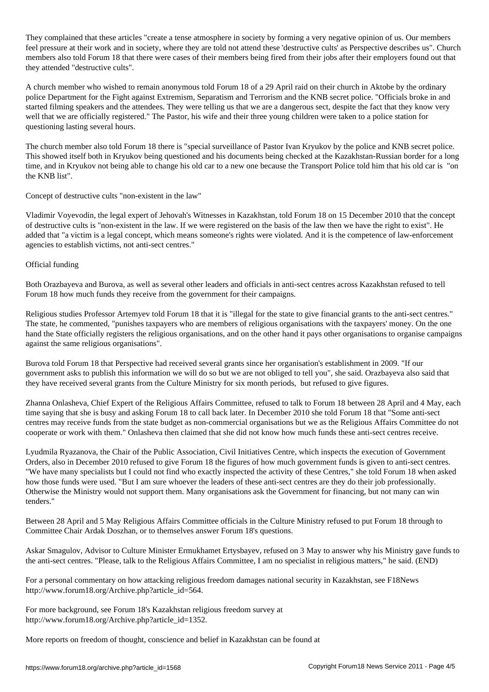They complained that these articles "create a tense atmosphere in society by forming a very negative opinion of us. Our members feel pressure at their work and in society, where they are told not attend these 'destructive cults' as Perspective describes us". Church members also told Forum 18 that there were cases of their members being fired from their jobs after their employers found out that they attended "destructive cults".

A church member who wished to remain anonymous told Forum 18 of a 29 April raid on their church in Aktobe by the ordinary police Department for the Fight against Extremism, Separatism and Terrorism and the KNB secret police. "Officials broke in and started filming speakers and the attendees. They were telling us that we are a dangerous sect, despite the fact that they know very well that we are officially registered." The Pastor, his wife and their three young children were taken to a police station for questioning lasting several hours.

The church member also told Forum 18 there is "special surveillance of Pastor Ivan Kryukov by the police and KNB secret police. This showed itself both in Kryukov being questioned and his documents being checked at the Kazakhstan-Russian border for a long time, and in Kryukov not being able to change his old car to a new one because the Transport Police told him that his old car is "on the KNB list".

Concept of destructive cults "non-existent in the law"

Vladimir Voyevodin, the legal expert of Jehovah's Witnesses in Kazakhstan, told Forum 18 on 15 December 2010 that the concept of destructive cults is "non-existent in the law. If we were registered on the basis of the law then we have the right to exist". He added that "a victim is a legal concept, which means someone's rights were violated. And it is the competence of law-enforcement agencies to establish victims, not anti-sect centres."

Official funding

Both Orazbayeva and Burova, as well as several other leaders and officials in anti-sect centres across Kazakhstan refused to tell Forum 18 how much funds they receive from the government for their campaigns.

Religious studies Professor Artemyev told Forum 18 that it is "illegal for the state to give financial grants to the anti-sect centres." The state, he commented, "punishes taxpayers who are members of religious organisations with the taxpayers' money. On the one hand the State officially registers the religious organisations, and on the other hand it pays other organisations to organise campaigns against the same religious organisations".

Burova told Forum 18 that Perspective had received several grants since her organisation's establishment in 2009. "If our government asks to publish this information we will do so but we are not obliged to tell you", she said. Orazbayeva also said that they have received several grants from the Culture Ministry for six month periods, but refused to give figures.

Zhanna Onlasheva, Chief Expert of the Religious Affairs Committee, refused to talk to Forum 18 between 28 April and 4 May, each time saying that she is busy and asking Forum 18 to call back later. In December 2010 she told Forum 18 that "Some anti-sect centres may receive funds from the state budget as non-commercial organisations but we as the Religious Affairs Committee do not cooperate or work with them." Onlasheva then claimed that she did not know how much funds these anti-sect centres receive.

Lyudmila Ryazanova, the Chair of the Public Association, Civil Initiatives Centre, which inspects the execution of Government Orders, also in December 2010 refused to give Forum 18 the figures of how much government funds is given to anti-sect centres. "We have many specialists but I could not find who exactly inspected the activity of these Centres," she told Forum 18 when asked how those funds were used. "But I am sure whoever the leaders of these anti-sect centres are they do their job professionally. Otherwise the Ministry would not support them. Many organisations ask the Government for financing, but not many can win tenders."

Between 28 April and 5 May Religious Affairs Committee officials in the Culture Ministry refused to put Forum 18 through to Committee Chair Ardak Doszhan, or to themselves answer Forum 18's questions.

Askar Smagulov, Advisor to Culture Minister Ermukhamet Ertysbayev, refused on 3 May to answer why his Ministry gave funds to the anti-sect centres. "Please, talk to the Religious Affairs Committee, I am no specialist in religious matters," he said. (END)

For a personal commentary on how attacking religious freedom damages national security in Kazakhstan, see F18News http://www.forum18.org/Archive.php?article\_id=564.

For more background, see Forum 18's Kazakhstan religious freedom survey at http://www.forum18.org/Archive.php?article\_id=1352.

More reports on freedom of thought, conscience and belief in Kazakhstan can be found at